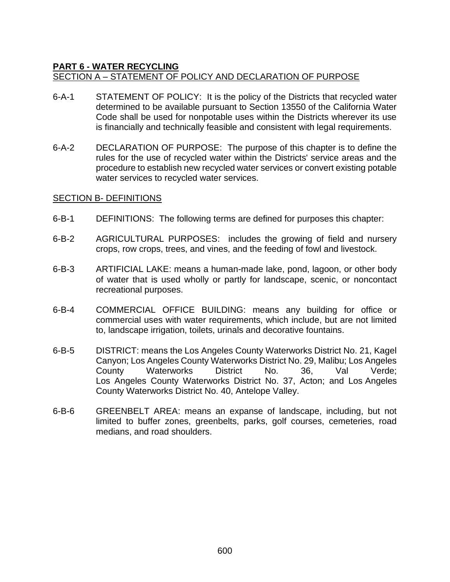## **PART 6 - WATER RECYCLING**

#### SECTION A – STATEMENT OF POLICY AND DECLARATION OF PURPOSE

- 6-A-1 STATEMENT OF POLICY: It is the policy of the Districts that recycled water determined to be available pursuant to Section 13550 of the California Water Code shall be used for nonpotable uses within the Districts wherever its use is financially and technically feasible and consistent with legal requirements.
- 6-A-2 DECLARATION OF PURPOSE: The purpose of this chapter is to define the rules for the use of recycled water within the Districts' service areas and the procedure to establish new recycled water services or convert existing potable water services to recycled water services.

#### SECTION B- DEFINITIONS

- 6-B-1 DEFINITIONS: The following terms are defined for purposes this chapter:
- 6-B-2 AGRICULTURAL PURPOSES: includes the growing of field and nursery crops, row crops, trees, and vines, and the feeding of fowl and livestock.
- 6-B-3 ARTIFICIAL LAKE: means a human-made lake, pond, lagoon, or other body of water that is used wholly or partly for landscape, scenic, or noncontact recreational purposes.
- 6-B-4 COMMERCIAL OFFICE BUILDING: means any building for office or commercial uses with water requirements, which include, but are not limited to, landscape irrigation, toilets, urinals and decorative fountains.
- 6-B-5 DISTRICT: means the Los Angeles County Waterworks District No. 21, Kagel Canyon; Los Angeles County Waterworks District No. 29, Malibu; Los Angeles County Waterworks District No. 36, Val Verde; Los Angeles County Waterworks District No. 37, Acton; and Los Angeles County Waterworks District No. 40, Antelope Valley.
- 6-B-6 GREENBELT AREA: means an expanse of landscape, including, but not limited to buffer zones, greenbelts, parks, golf courses, cemeteries, road medians, and road shoulders.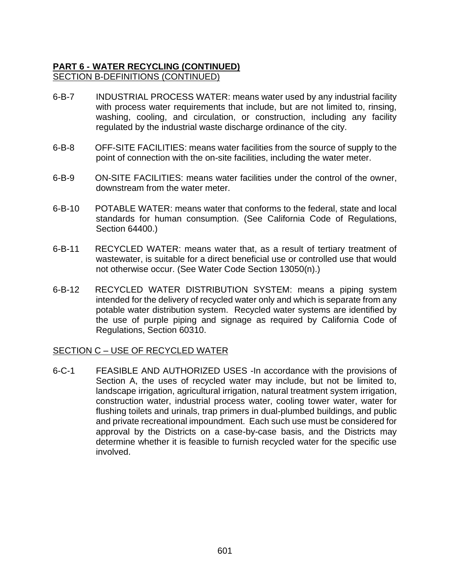# **PART 6 - WATER RECYCLING (CONTINUED)** SECTION B-DEFINITIONS (CONTINUED)

- 6-B-7 INDUSTRIAL PROCESS WATER: means water used by any industrial facility with process water requirements that include, but are not limited to, rinsing, washing, cooling, and circulation, or construction, including any facility regulated by the industrial waste discharge ordinance of the city.
- 6-B-8 OFF-SITE FACILITIES: means water facilities from the source of supply to the point of connection with the on-site facilities, including the water meter.
- 6-B-9 ON-SITE FACILITIES: means water facilities under the control of the owner, downstream from the water meter.
- 6-B-10 POTABLE WATER: means water that conforms to the federal, state and local standards for human consumption. (See California Code of Regulations, Section 64400.)
- 6-B-11 RECYCLED WATER: means water that, as a result of tertiary treatment of wastewater, is suitable for a direct beneficial use or controlled use that would not otherwise occur. (See Water Code Section 13050(n).)
- 6-B-12 RECYCLED WATER DISTRIBUTION SYSTEM: means a piping system intended for the delivery of recycled water only and which is separate from any potable water distribution system. Recycled water systems are identified by the use of purple piping and signage as required by California Code of Regulations, Section 60310.

#### SECTION C – USE OF RECYCLED WATER

6-C-1 FEASIBLE AND AUTHORIZED USES -In accordance with the provisions of Section A, the uses of recycled water may include, but not be limited to, landscape irrigation, agricultural irrigation, natural treatment system irrigation, construction water, industrial process water, cooling tower water, water for flushing toilets and urinals, trap primers in dual-plumbed buildings, and public and private recreational impoundment. Each such use must be considered for approval by the Districts on a case-by-case basis, and the Districts may determine whether it is feasible to furnish recycled water for the specific use involved.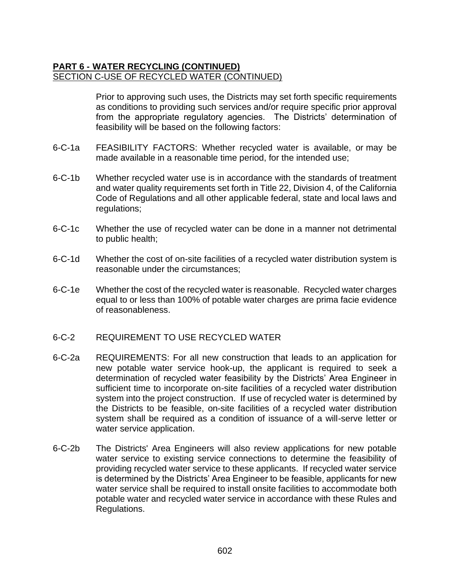### **PART 6 - WATER RECYCLING (CONTINUED)** SECTION C-USE OF RECYCLED WATER (CONTINUED)

Prior to approving such uses, the Districts may set forth specific requirements as conditions to providing such services and/or require specific prior approval from the appropriate regulatory agencies. The Districts' determination of feasibility will be based on the following factors:

- 6-C-1a FEASIBILITY FACTORS: Whether recycled water is available, or may be made available in a reasonable time period, for the intended use;
- 6-C-1b Whether recycled water use is in accordance with the standards of treatment and water quality requirements set forth in Title 22, Division 4, of the California Code of Regulations and all other applicable federal, state and local laws and regulations;
- 6-C-1c Whether the use of recycled water can be done in a manner not detrimental to public health;
- 6-C-1d Whether the cost of on-site facilities of a recycled water distribution system is reasonable under the circumstances;
- 6-C-1e Whether the cost of the recycled water is reasonable. Recycled water charges equal to or less than 100% of potable water charges are prima facie evidence of reasonableness.
- 6-C-2 REQUIREMENT TO USE RECYCLED WATER
- 6-C-2a REQUIREMENTS: For all new construction that leads to an application for new potable water service hook-up, the applicant is required to seek a determination of recycled water feasibility by the Districts' Area Engineer in sufficient time to incorporate on-site facilities of a recycled water distribution system into the project construction. If use of recycled water is determined by the Districts to be feasible, on-site facilities of a recycled water distribution system shall be required as a condition of issuance of a will-serve letter or water service application.
- 6-C-2b The Districts' Area Engineers will also review applications for new potable water service to existing service connections to determine the feasibility of providing recycled water service to these applicants. If recycled water service is determined by the Districts' Area Engineer to be feasible, applicants for new water service shall be required to install onsite facilities to accommodate both potable water and recycled water service in accordance with these Rules and Regulations.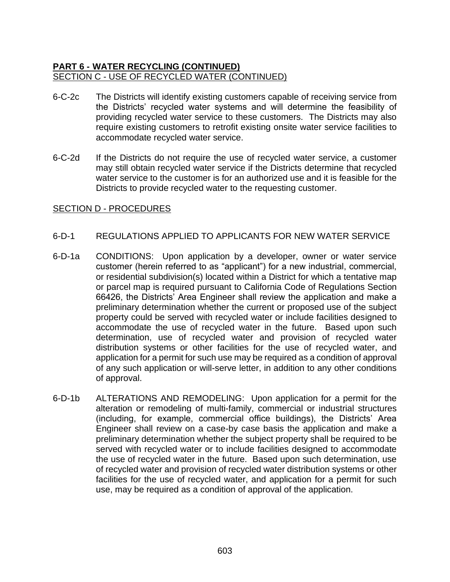### **PART 6 - WATER RECYCLING (CONTINUED)** SECTION C - USE OF RECYCLED WATER (CONTINUED)

- 6-C-2c The Districts will identify existing customers capable of receiving service from the Districts' recycled water systems and will determine the feasibility of providing recycled water service to these customers. The Districts may also require existing customers to retrofit existing onsite water service facilities to accommodate recycled water service.
- 6-C-2d If the Districts do not require the use of recycled water service, a customer may still obtain recycled water service if the Districts determine that recycled water service to the customer is for an authorized use and it is feasible for the Districts to provide recycled water to the requesting customer.

### SECTION D - PROCEDURES

### 6-D-1 REGULATIONS APPLIED TO APPLICANTS FOR NEW WATER SERVICE

- 6-D-1a CONDITIONS: Upon application by a developer, owner or water service customer (herein referred to as "applicant") for a new industrial, commercial, or residential subdivision(s) located within a District for which a tentative map or parcel map is required pursuant to California Code of Regulations Section 66426, the Districts' Area Engineer shall review the application and make a preliminary determination whether the current or proposed use of the subject property could be served with recycled water or include facilities designed to accommodate the use of recycled water in the future. Based upon such determination, use of recycled water and provision of recycled water distribution systems or other facilities for the use of recycled water, and application for a permit for such use may be required as a condition of approval of any such application or will-serve letter, in addition to any other conditions of approval.
- 6-D-1b ALTERATIONS AND REMODELING: Upon application for a permit for the alteration or remodeling of multi-family, commercial or industrial structures (including, for example, commercial office buildings), the Districts' Area Engineer shall review on a case-by case basis the application and make a preliminary determination whether the subject property shall be required to be served with recycled water or to include facilities designed to accommodate the use of recycled water in the future. Based upon such determination, use of recycled water and provision of recycled water distribution systems or other facilities for the use of recycled water, and application for a permit for such use, may be required as a condition of approval of the application.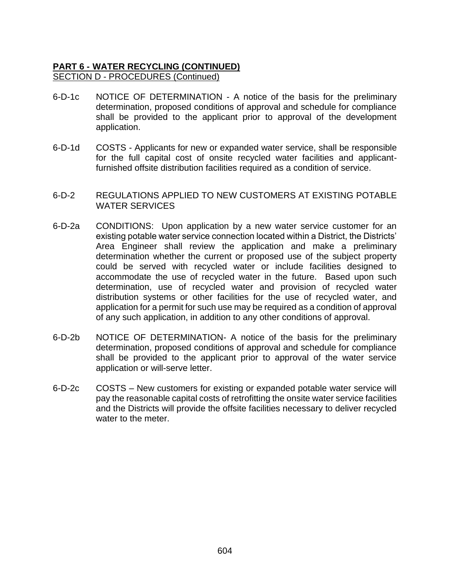## **PART 6 - WATER RECYCLING (CONTINUED)** SECTION D - PROCEDURES (Continued)

- 6-D-1c NOTICE OF DETERMINATION A notice of the basis for the preliminary determination, proposed conditions of approval and schedule for compliance shall be provided to the applicant prior to approval of the development application.
- 6-D-1d COSTS Applicants for new or expanded water service, shall be responsible for the full capital cost of onsite recycled water facilities and applicantfurnished offsite distribution facilities required as a condition of service.
- 6-D-2 REGULATIONS APPLIED TO NEW CUSTOMERS AT EXISTING POTABLE WATER SERVICES
- 6-D-2a CONDITIONS: Upon application by a new water service customer for an existing potable water service connection located within a District, the Districts' Area Engineer shall review the application and make a preliminary determination whether the current or proposed use of the subject property could be served with recycled water or include facilities designed to accommodate the use of recycled water in the future. Based upon such determination, use of recycled water and provision of recycled water distribution systems or other facilities for the use of recycled water, and application for a permit for such use may be required as a condition of approval of any such application, in addition to any other conditions of approval.
- 6-D-2b NOTICE OF DETERMINATION- A notice of the basis for the preliminary determination, proposed conditions of approval and schedule for compliance shall be provided to the applicant prior to approval of the water service application or will-serve letter.
- 6-D-2c COSTS New customers for existing or expanded potable water service will pay the reasonable capital costs of retrofitting the onsite water service facilities and the Districts will provide the offsite facilities necessary to deliver recycled water to the meter.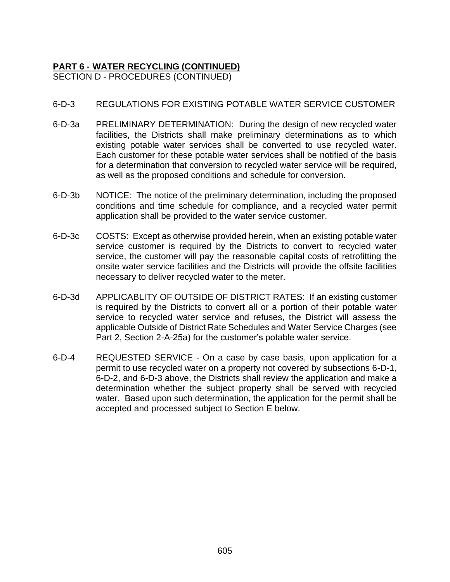# **PART 6 - WATER RECYCLING (CONTINUED)** SECTION D - PROCEDURES (CONTINUED)

## 6-D-3 REGULATIONS FOR EXISTING POTABLE WATER SERVICE CUSTOMER

- 6-D-3a PRELIMINARY DETERMINATION: During the design of new recycled water facilities, the Districts shall make preliminary determinations as to which existing potable water services shall be converted to use recycled water. Each customer for these potable water services shall be notified of the basis for a determination that conversion to recycled water service will be required, as well as the proposed conditions and schedule for conversion.
- 6-D-3b NOTICE: The notice of the preliminary determination, including the proposed conditions and time schedule for compliance, and a recycled water permit application shall be provided to the water service customer.
- 6-D-3c COSTS: Except as otherwise provided herein, when an existing potable water service customer is required by the Districts to convert to recycled water service, the customer will pay the reasonable capital costs of retrofitting the onsite water service facilities and the Districts will provide the offsite facilities necessary to deliver recycled water to the meter.
- 6-D-3d APPLICABLITY OF OUTSIDE OF DISTRICT RATES: If an existing customer is required by the Districts to convert all or a portion of their potable water service to recycled water service and refuses, the District will assess the applicable Outside of District Rate Schedules and Water Service Charges (see Part 2, Section 2-A-25a) for the customer's potable water service.
- 6-D-4 REQUESTED SERVICE On a case by case basis, upon application for a permit to use recycled water on a property not covered by subsections 6-D-1, 6-D-2, and 6-D-3 above, the Districts shall review the application and make a determination whether the subject property shall be served with recycled water. Based upon such determination, the application for the permit shall be accepted and processed subject to Section E below.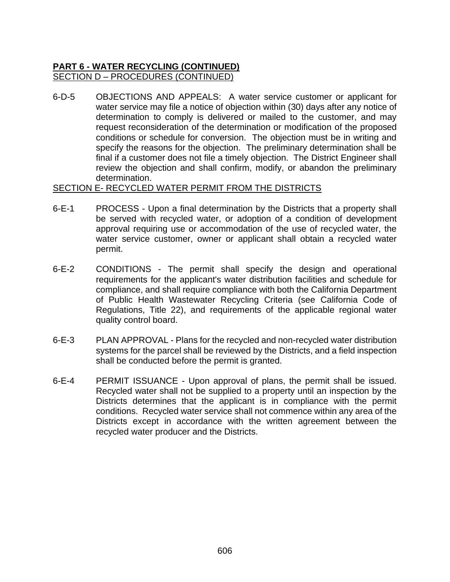# **PART 6 - WATER RECYCLING (CONTINUED)** SECTION D – PROCEDURES (CONTINUED)

6-D-5 OBJECTIONS AND APPEALS: A water service customer or applicant for water service may file a notice of objection within (30) days after any notice of determination to comply is delivered or mailed to the customer, and may request reconsideration of the determination or modification of the proposed conditions or schedule for conversion. The objection must be in writing and specify the reasons for the objection. The preliminary determination shall be final if a customer does not file a timely objection. The District Engineer shall review the objection and shall confirm, modify, or abandon the preliminary determination.

#### SECTION E- RECYCLED WATER PERMIT FROM THE DISTRICTS

- 6-E-1 PROCESS Upon a final determination by the Districts that a property shall be served with recycled water, or adoption of a condition of development approval requiring use or accommodation of the use of recycled water, the water service customer, owner or applicant shall obtain a recycled water permit.
- 6-E-2 CONDITIONS The permit shall specify the design and operational requirements for the applicant's water distribution facilities and schedule for compliance, and shall require compliance with both the California Department of Public Health Wastewater Recycling Criteria (see California Code of Regulations, Title 22), and requirements of the applicable regional water quality control board.
- 6-E-3 PLAN APPROVAL Plans for the recycled and non-recycled water distribution systems for the parcel shall be reviewed by the Districts, and a field inspection shall be conducted before the permit is granted.
- 6-E-4 PERMIT ISSUANCE Upon approval of plans, the permit shall be issued. Recycled water shall not be supplied to a property until an inspection by the Districts determines that the applicant is in compliance with the permit conditions. Recycled water service shall not commence within any area of the Districts except in accordance with the written agreement between the recycled water producer and the Districts.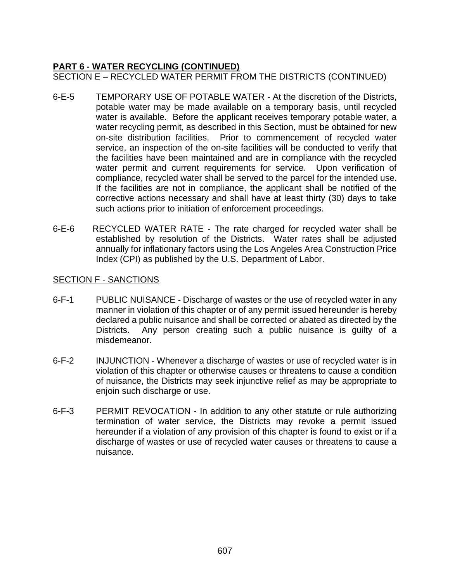## **PART 6 - WATER RECYCLING (CONTINUED)** SECTION E – RECYCLED WATER PERMIT FROM THE DISTRICTS (CONTINUED)

- 6-E-5 TEMPORARY USE OF POTABLE WATER At the discretion of the Districts, potable water may be made available on a temporary basis, until recycled water is available. Before the applicant receives temporary potable water, a water recycling permit, as described in this Section, must be obtained for new on-site distribution facilities. Prior to commencement of recycled water service, an inspection of the on-site facilities will be conducted to verify that the facilities have been maintained and are in compliance with the recycled water permit and current requirements for service. Upon verification of compliance, recycled water shall be served to the parcel for the intended use. If the facilities are not in compliance, the applicant shall be notified of the corrective actions necessary and shall have at least thirty (30) days to take such actions prior to initiation of enforcement proceedings.
- 6-E-6 RECYCLED WATER RATE The rate charged for recycled water shall be established by resolution of the Districts. Water rates shall be adjusted annually for inflationary factors using the Los Angeles Area Construction Price Index (CPI) as published by the U.S. Department of Labor.

#### SECTION F - SANCTIONS

- 6-F-1 PUBLIC NUISANCE Discharge of wastes or the use of recycled water in any manner in violation of this chapter or of any permit issued hereunder is hereby declared a public nuisance and shall be corrected or abated as directed by the Districts. Any person creating such a public nuisance is guilty of a misdemeanor.
- 6-F-2 INJUNCTION Whenever a discharge of wastes or use of recycled water is in violation of this chapter or otherwise causes or threatens to cause a condition of nuisance, the Districts may seek injunctive relief as may be appropriate to enjoin such discharge or use.
- 6-F-3 PERMIT REVOCATION In addition to any other statute or rule authorizing termination of water service, the Districts may revoke a permit issued hereunder if a violation of any provision of this chapter is found to exist or if a discharge of wastes or use of recycled water causes or threatens to cause a nuisance.